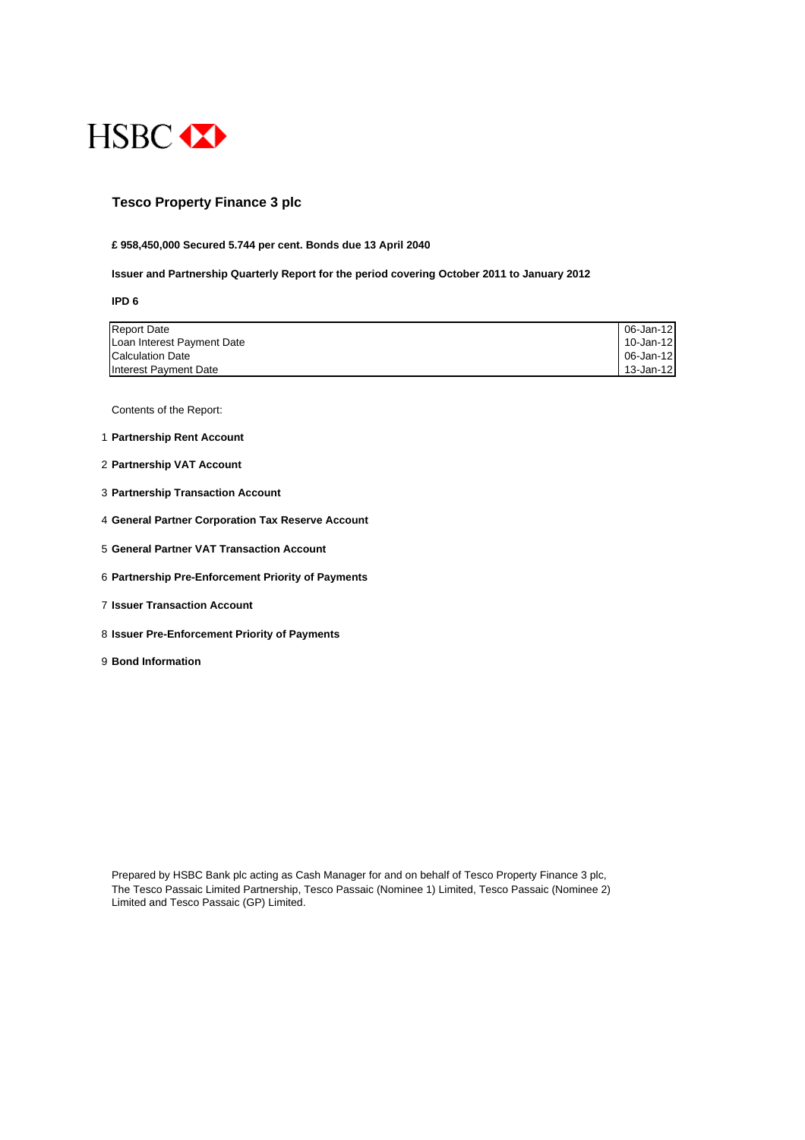

## **Tesco Property Finance 3 plc**

#### **£ 958,450,000 Secured 5.744 per cent. Bonds due 13 April 2040**

#### **Issuer and Partnership Quarterly Report for the period covering October 2011 to January 2012**

**IPD 6**

| <b>Report Date</b>         | 06-Jan-12 |
|----------------------------|-----------|
| Loan Interest Payment Date | 10-Jan-12 |
| Calculation Date           | 06-Jan-12 |
| Interest Payment Date      | 13-Jan-12 |

Contents of the Report:

- 1 **Partnership Rent Account**
- 2 **Partnership VAT Account**
- 3 **Partnership Transaction Account**
- 4 **General Partner Corporation Tax Reserve Account**
- 5 **General Partner VAT Transaction Account**
- 6 **Partnership Pre-Enforcement Priority of Payments**
- 7 **Issuer Transaction Account**
- 8 **Issuer Pre-Enforcement Priority of Payments**
- 9 **Bond Information**

Prepared by HSBC Bank plc acting as Cash Manager for and on behalf of Tesco Property Finance 3 plc, The Tesco Passaic Limited Partnership, Tesco Passaic (Nominee 1) Limited, Tesco Passaic (Nominee 2) Limited and Tesco Passaic (GP) Limited.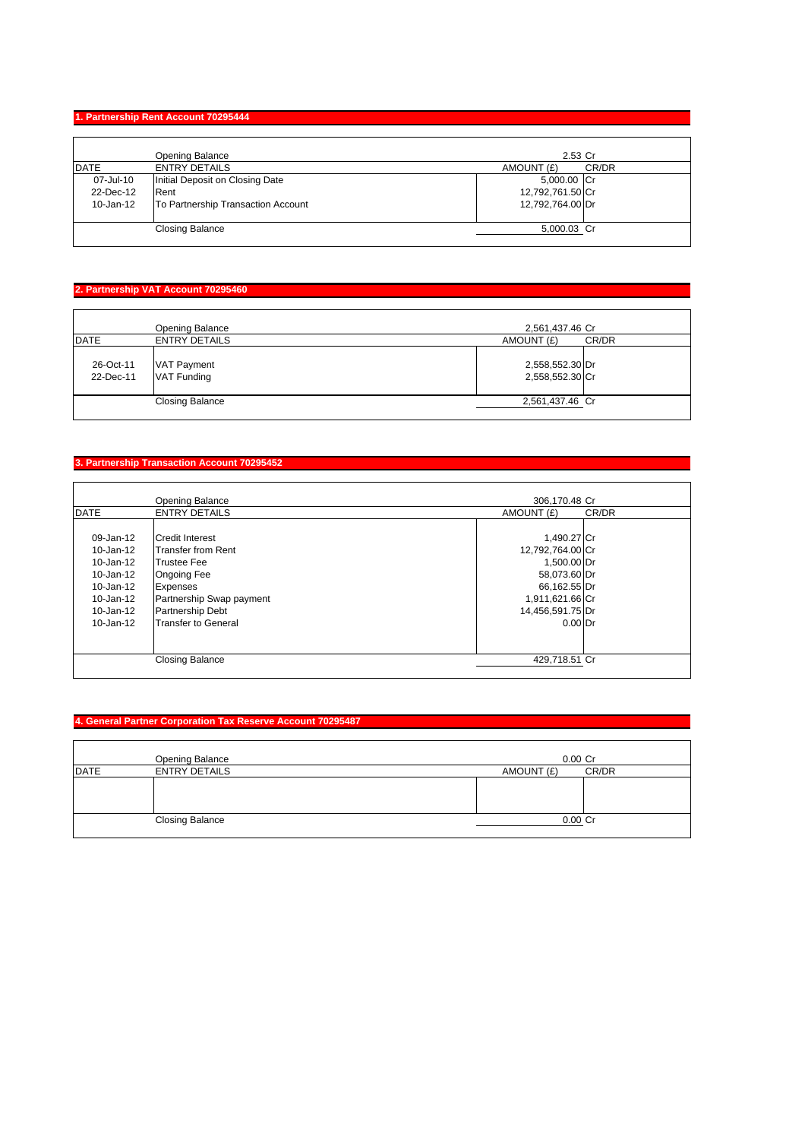### **1. Partnership Rent Account 70295444**

|             | Opening Balance                    | 2.53 Cr          |       |
|-------------|------------------------------------|------------------|-------|
| <b>DATE</b> | <b>ENTRY DETAILS</b>               | AMOUNT (£)       | CR/DR |
| 07-Jul-10   | Initial Deposit on Closing Date    | 5,000.00 Cr      |       |
| 22-Dec-12   | Rent                               | 12,792,761.50 Cr |       |
| 10-Jan-12   | To Partnership Transaction Account | 12,792,764.00 Dr |       |
|             | <b>Closing Balance</b>             | 5,000.03 Cr      |       |

### **2. Partnership VAT Account 70295460**

| <b>DATE</b>            | Opening Balance<br><b>ENTRY DETAILS</b> | 2,561,437.46 Cr<br>AMOUNT (£)      | CR/DR |
|------------------------|-----------------------------------------|------------------------------------|-------|
| 26-Oct-11<br>22-Dec-11 | <b>VAT Payment</b><br>VAT Funding       | 2,558,552.30 Dr<br>2,558,552.30 Cr |       |
|                        | <b>Closing Balance</b>                  | 2,561,437.46 Cr                    |       |

### **3. Partnership Transaction Account 70295452**

|               | <b>Opening Balance</b>     | 306,170.48 Cr    |       |
|---------------|----------------------------|------------------|-------|
| <b>DATE</b>   | <b>ENTRY DETAILS</b>       | AMOUNT (£)       | CR/DR |
|               |                            |                  |       |
| $09 - Jan-12$ | <b>Credit Interest</b>     | 1,490.27 Cr      |       |
| 10-Jan-12     | <b>Transfer from Rent</b>  | 12,792,764.00 Cr |       |
| 10-Jan-12     | <b>Trustee Fee</b>         | 1,500.00 Dr      |       |
| 10-Jan-12     | <b>Ongoing Fee</b>         | 58,073.60 Dr     |       |
| $10 - Jan-12$ | <b>Expenses</b>            | 66,162.55 Dr     |       |
| 10-Jan-12     | Partnership Swap payment   | 1,911,621.66 Cr  |       |
| 10-Jan-12     | <b>Partnership Debt</b>    | 14,456,591.75 Dr |       |
| $10 - Jan-12$ | <b>Transfer to General</b> | $0.00$ Dr        |       |
|               |                            |                  |       |
|               |                            |                  |       |
|               | <b>Closing Balance</b>     | 429,718.51 Cr    |       |
|               |                            |                  |       |

### **4. General Partner Corporation Tax Reserve Account 70295487**

|             | Opening Balance        | $0.00$ Cr  |       |
|-------------|------------------------|------------|-------|
| <b>DATE</b> | <b>ENTRY DETAILS</b>   | AMOUNT (£) | CR/DR |
|             |                        |            |       |
|             | <b>Closing Balance</b> | $0.00$ Cr  |       |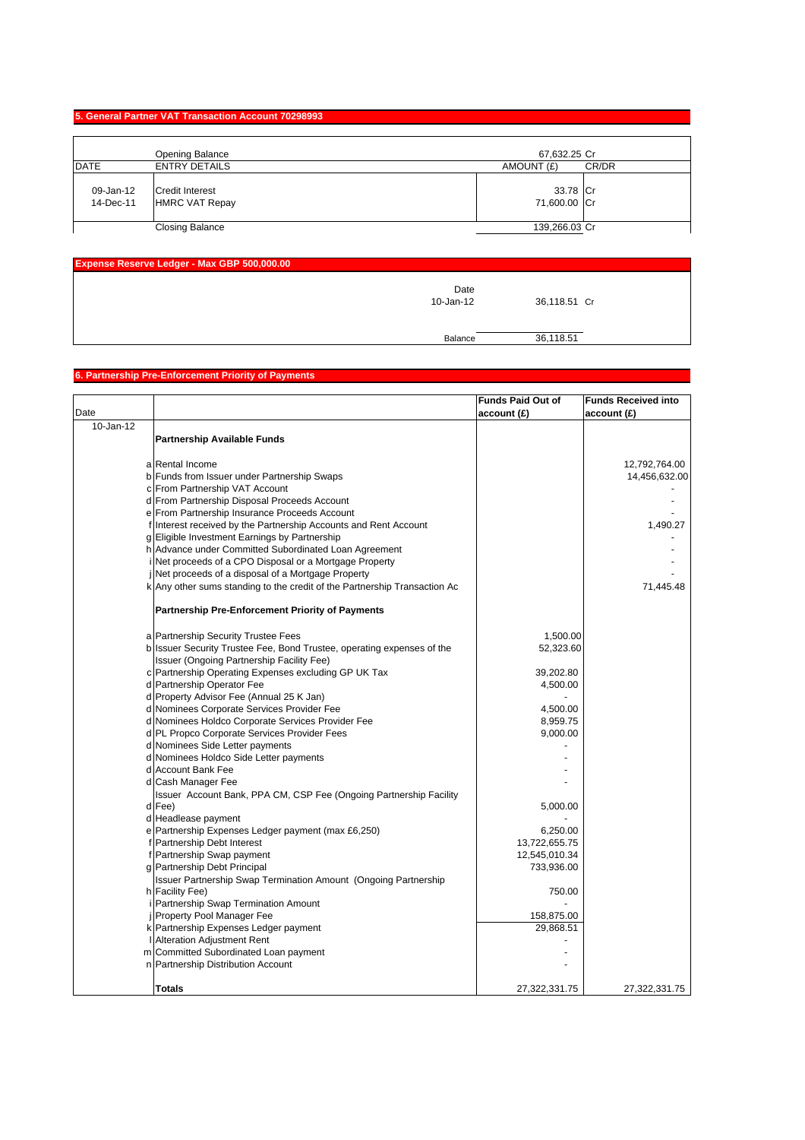### **5. General Partner VAT Transaction Account 70298993**

|                        | <b>Opening Balance</b>                          | 67,632.25 Cr             |       |
|------------------------|-------------------------------------------------|--------------------------|-------|
| <b>DATE</b>            | <b>ENTRY DETAILS</b>                            | AMOUNT (£)               | CR/DR |
| 09-Jan-12<br>14-Dec-11 | <b>Credit Interest</b><br><b>HMRC VAT Repay</b> | 33.78 Cr<br>71,600.00 Cr |       |
|                        | <b>Closing Balance</b>                          | 139,266.03 Cr            |       |

| <b>Expense Reserve Ledger - Max GBP 500,000.00</b> |                   |              |  |
|----------------------------------------------------|-------------------|--------------|--|
|                                                    | Date<br>10-Jan-12 | 36,118.51 Cr |  |
|                                                    | Balance           | 36,118.51    |  |

### **6. Partnership Pre-Enforcement Priority of Payments**

|           |                                                                                    | <b>Funds Paid Out of</b> | <b>Funds Received into</b> |
|-----------|------------------------------------------------------------------------------------|--------------------------|----------------------------|
| Date      |                                                                                    | account(E)               | account(E)                 |
| 10-Jan-12 |                                                                                    |                          |                            |
|           | <b>Partnership Available Funds</b>                                                 |                          |                            |
|           |                                                                                    |                          |                            |
|           | a Rental Income                                                                    |                          | 12,792,764.00              |
|           | b Funds from Issuer under Partnership Swaps                                        |                          | 14,456,632.00              |
|           | c From Partnership VAT Account                                                     |                          |                            |
|           | d From Partnership Disposal Proceeds Account                                       |                          |                            |
|           | e From Partnership Insurance Proceeds Account                                      |                          |                            |
|           | f Interest received by the Partnership Accounts and Rent Account                   |                          | 1,490.27                   |
|           | g Eligible Investment Earnings by Partnership                                      |                          |                            |
|           | h Advance under Committed Subordinated Loan Agreement                              |                          |                            |
|           | i Net proceeds of a CPO Disposal or a Mortgage Property                            |                          |                            |
|           | Net proceeds of a disposal of a Mortgage Property                                  |                          |                            |
|           | k Any other sums standing to the credit of the Partnership Transaction Ac          |                          | 71,445.48                  |
|           | <b>Partnership Pre-Enforcement Priority of Payments</b>                            |                          |                            |
|           |                                                                                    |                          |                            |
|           | a Partnership Security Trustee Fees                                                | 1,500.00                 |                            |
|           | b Issuer Security Trustee Fee, Bond Trustee, operating expenses of the             | 52,323.60                |                            |
|           | Issuer (Ongoing Partnership Facility Fee)                                          |                          |                            |
|           | c Partnership Operating Expenses excluding GP UK Tax                               | 39,202.80                |                            |
|           | d Partnership Operator Fee<br>d Property Advisor Fee (Annual 25 K Jan)             | 4,500.00                 |                            |
|           | d Nominees Corporate Services Provider Fee                                         | 4,500.00                 |                            |
|           | d Nominees Holdco Corporate Services Provider Fee                                  | 8,959.75                 |                            |
|           | d PL Propco Corporate Services Provider Fees                                       | 9,000.00                 |                            |
|           | d Nominees Side Letter payments                                                    |                          |                            |
|           |                                                                                    |                          |                            |
|           | d Nominees Holdco Side Letter payments<br>d Account Bank Fee                       |                          |                            |
|           |                                                                                    |                          |                            |
|           | d Cash Manager Fee                                                                 |                          |                            |
|           | Issuer Account Bank, PPA CM, CSP Fee (Ongoing Partnership Facility                 |                          |                            |
|           | d Fee)                                                                             | 5,000.00                 |                            |
|           | d Headlease payment                                                                |                          |                            |
|           | e Partnership Expenses Ledger payment (max £6,250)                                 | 6,250.00                 |                            |
|           | f Partnership Debt Interest                                                        | 13,722,655.75            |                            |
|           | f Partnership Swap payment                                                         | 12,545,010.34            |                            |
|           | g Partnership Debt Principal                                                       | 733,936.00               |                            |
|           | Issuer Partnership Swap Termination Amount (Ongoing Partnership<br>h Facility Fee) | 750.00                   |                            |
|           |                                                                                    |                          |                            |
|           | i Partnership Swap Termination Amount<br>j Property Pool Manager Fee               |                          |                            |
|           | k Partnership Expenses Ledger payment                                              | 158,875.00<br>29,868.51  |                            |
|           |                                                                                    |                          |                            |
|           | <b>I</b> Alteration Adjustment Rent                                                |                          |                            |
|           | m Committed Subordinated Loan payment                                              |                          |                            |
|           | n Partnership Distribution Account                                                 |                          |                            |
|           | Totals                                                                             | 27,322,331.75            | 27,322,331.75              |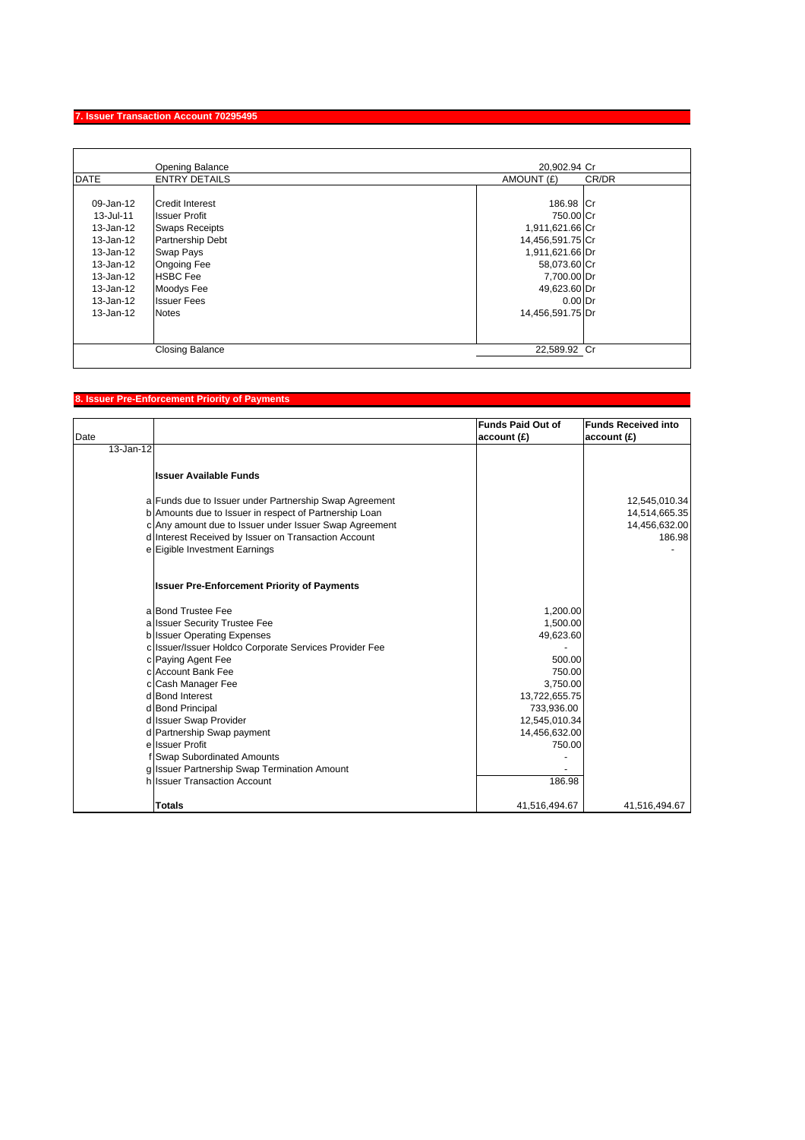### **7. Issuer Transaction Account 70295495**

|               | Opening Balance        | 20.902.94 Cr        |
|---------------|------------------------|---------------------|
| <b>DATE</b>   | <b>ENTRY DETAILS</b>   | CR/DR<br>AMOUNT (£) |
|               |                        |                     |
| 09-Jan-12     | Credit Interest        | 186.98 Cr           |
| 13-Jul-11     | <b>Issuer Profit</b>   | 750.00 Cr           |
| 13-Jan-12     | <b>Swaps Receipts</b>  | 1,911,621.66 Cr     |
| 13-Jan-12     | Partnership Debt       | 14,456,591.75 Cr    |
| 13-Jan-12     | <b>Swap Pays</b>       | 1,911,621.66 Dr     |
| 13-Jan-12     | <b>Ongoing Fee</b>     | 58,073.60 Cr        |
| 13-Jan-12     | <b>HSBC</b> Fee        | 7,700.00 Dr         |
| 13-Jan-12     | Moodys Fee             | 49,623.60 Dr        |
| 13-Jan-12     | <b>Issuer Fees</b>     | $0.00$ Dr           |
| $13 - Jan-12$ | <b>Notes</b>           | 14,456,591.75 Dr    |
|               |                        |                     |
|               | <b>Closing Balance</b> | 22,589.92 Cr        |
|               |                        |                     |

# **8. Issuer Pre-Enforcement Priority of Payments**

| Date      |                                                        | <b>Funds Paid Out of</b><br>account(E) | <b>Funds Received into</b><br>account(E) |
|-----------|--------------------------------------------------------|----------------------------------------|------------------------------------------|
| 13-Jan-12 |                                                        |                                        |                                          |
|           | <b>Issuer Available Funds</b>                          |                                        |                                          |
|           | a Funds due to Issuer under Partnership Swap Agreement |                                        | 12,545,010.34                            |
|           | b Amounts due to Issuer in respect of Partnership Loan |                                        | 14,514,665.35                            |
|           | c Any amount due to Issuer under Issuer Swap Agreement |                                        | 14,456,632.00                            |
|           | d Interest Received by Issuer on Transaction Account   |                                        | 186.98                                   |
|           | e Eigible Investment Earnings                          |                                        |                                          |
|           | <b>Issuer Pre-Enforcement Priority of Payments</b>     |                                        |                                          |
|           | a Bond Trustee Fee                                     | 1,200.00                               |                                          |
|           | a Issuer Security Trustee Fee                          | 1,500.00                               |                                          |
|           | <b>b</b> Issuer Operating Expenses                     | 49,623.60                              |                                          |
|           | c Issuer/Issuer Holdco Corporate Services Provider Fee |                                        |                                          |
|           | c Paying Agent Fee                                     | 500.00                                 |                                          |
|           | c Account Bank Fee                                     | 750.00                                 |                                          |
|           | c Cash Manager Fee                                     | 3.750.00                               |                                          |
|           | d Bond Interest                                        | 13,722,655.75                          |                                          |
|           | d Bond Principal                                       | 733,936.00                             |                                          |
|           | d Issuer Swap Provider                                 | 12,545,010.34                          |                                          |
|           | d Partnership Swap payment                             | 14,456,632.00                          |                                          |
|           | e Issuer Profit                                        | 750.00                                 |                                          |
|           | f Swap Subordinated Amounts                            |                                        |                                          |
|           | g Issuer Partnership Swap Termination Amount           |                                        |                                          |
|           | h Issuer Transaction Account                           | 186.98                                 |                                          |
|           | <b>Totals</b>                                          | 41,516,494.67                          | 41,516,494.67                            |